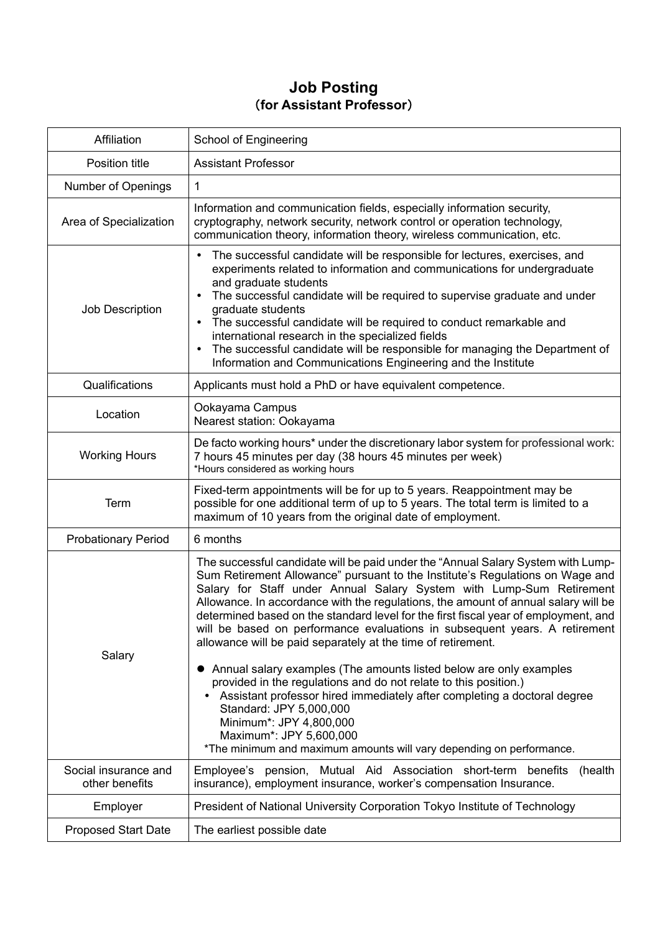## **Job Posting** (**for Assistant Professor**)

| Affiliation                | <b>School of Engineering</b>                                                                                                                                                                                                                                                                                                                                                                                                                                                                                                                                                                                                                                                                                                                                                                                                                                                             |
|----------------------------|------------------------------------------------------------------------------------------------------------------------------------------------------------------------------------------------------------------------------------------------------------------------------------------------------------------------------------------------------------------------------------------------------------------------------------------------------------------------------------------------------------------------------------------------------------------------------------------------------------------------------------------------------------------------------------------------------------------------------------------------------------------------------------------------------------------------------------------------------------------------------------------|
| Position title             | <b>Assistant Professor</b>                                                                                                                                                                                                                                                                                                                                                                                                                                                                                                                                                                                                                                                                                                                                                                                                                                                               |
| <b>Number of Openings</b>  | 1                                                                                                                                                                                                                                                                                                                                                                                                                                                                                                                                                                                                                                                                                                                                                                                                                                                                                        |
| Area of Specialization     | Information and communication fields, especially information security,<br>cryptography, network security, network control or operation technology,<br>communication theory, information theory, wireless communication, etc.                                                                                                                                                                                                                                                                                                                                                                                                                                                                                                                                                                                                                                                             |
| Job Description            | The successful candidate will be responsible for lectures, exercises, and<br>experiments related to information and communications for undergraduate<br>and graduate students<br>The successful candidate will be required to supervise graduate and under<br>graduate students<br>The successful candidate will be required to conduct remarkable and<br>international research in the specialized fields<br>The successful candidate will be responsible for managing the Department of<br>Information and Communications Engineering and the Institute                                                                                                                                                                                                                                                                                                                                |
| Qualifications             | Applicants must hold a PhD or have equivalent competence.                                                                                                                                                                                                                                                                                                                                                                                                                                                                                                                                                                                                                                                                                                                                                                                                                                |
| Location                   | Ookayama Campus<br>Nearest station: Ookayama                                                                                                                                                                                                                                                                                                                                                                                                                                                                                                                                                                                                                                                                                                                                                                                                                                             |
| <b>Working Hours</b>       | De facto working hours* under the discretionary labor system for professional work:<br>7 hours 45 minutes per day (38 hours 45 minutes per week)<br>*Hours considered as working hours                                                                                                                                                                                                                                                                                                                                                                                                                                                                                                                                                                                                                                                                                                   |
| Term                       | Fixed-term appointments will be for up to 5 years. Reappointment may be<br>possible for one additional term of up to 5 years. The total term is limited to a<br>maximum of 10 years from the original date of employment.                                                                                                                                                                                                                                                                                                                                                                                                                                                                                                                                                                                                                                                                |
| <b>Probationary Period</b> | 6 months                                                                                                                                                                                                                                                                                                                                                                                                                                                                                                                                                                                                                                                                                                                                                                                                                                                                                 |
| Salary                     | The successful candidate will be paid under the "Annual Salary System with Lump-<br>Sum Retirement Allowance" pursuant to the Institute's Regulations on Wage and<br>Salary for Staff under Annual Salary System with Lump-Sum Retirement<br>Allowance. In accordance with the regulations, the amount of annual salary will be<br>determined based on the standard level for the first fiscal year of employment, and<br>will be based on performance evaluations in subsequent years. A retirement<br>allowance will be paid separately at the time of retirement.<br>Annual salary examples (The amounts listed below are only examples<br>provided in the regulations and do not relate to this position.)<br>Assistant professor hired immediately after completing a doctoral degree<br>$\bullet$<br>Standard: JPY 5,000,000<br>Minimum*: JPY 4,800,000<br>Maximum*: JPY 5,600,000 |
| Social insurance and       | *The minimum and maximum amounts will vary depending on performance.                                                                                                                                                                                                                                                                                                                                                                                                                                                                                                                                                                                                                                                                                                                                                                                                                     |
| other benefits             | Employee's pension, Mutual Aid Association short-term benefits<br>(health<br>insurance), employment insurance, worker's compensation Insurance.                                                                                                                                                                                                                                                                                                                                                                                                                                                                                                                                                                                                                                                                                                                                          |
| Employer                   | President of National University Corporation Tokyo Institute of Technology                                                                                                                                                                                                                                                                                                                                                                                                                                                                                                                                                                                                                                                                                                                                                                                                               |
| <b>Proposed Start Date</b> | The earliest possible date                                                                                                                                                                                                                                                                                                                                                                                                                                                                                                                                                                                                                                                                                                                                                                                                                                                               |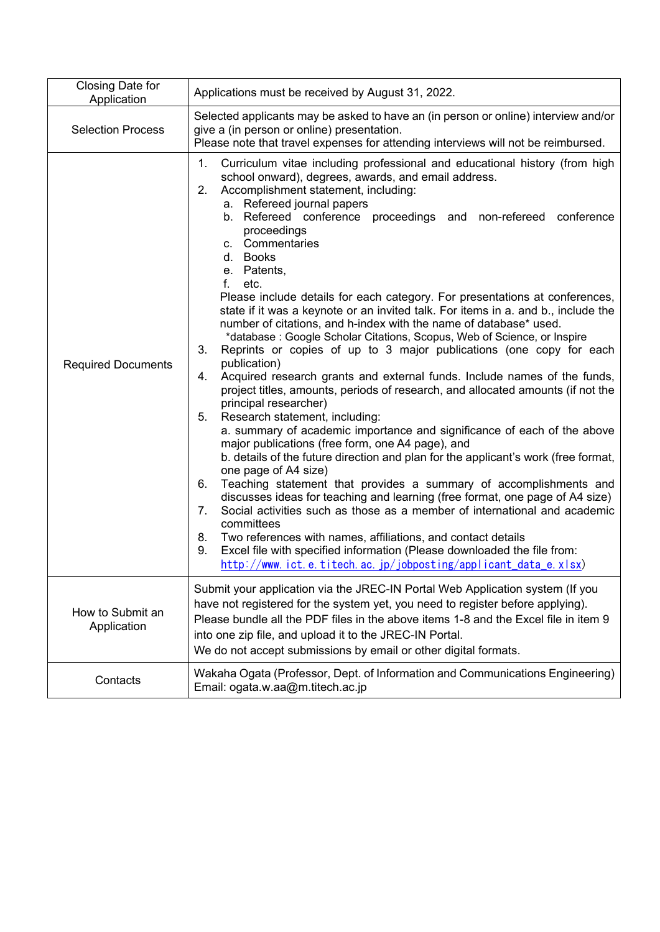| Closing Date for<br>Application | Applications must be received by August 31, 2022.                                                                                                                                                                                                                                                                                                                                                                                                                                                                                                                                                                                                                                                                                                                                                                                                                                                                                                                                                                                                                                                                                                                                                                                                                                                                                                                                                                                                                                                                                                                                                                                                                                                                                                             |
|---------------------------------|---------------------------------------------------------------------------------------------------------------------------------------------------------------------------------------------------------------------------------------------------------------------------------------------------------------------------------------------------------------------------------------------------------------------------------------------------------------------------------------------------------------------------------------------------------------------------------------------------------------------------------------------------------------------------------------------------------------------------------------------------------------------------------------------------------------------------------------------------------------------------------------------------------------------------------------------------------------------------------------------------------------------------------------------------------------------------------------------------------------------------------------------------------------------------------------------------------------------------------------------------------------------------------------------------------------------------------------------------------------------------------------------------------------------------------------------------------------------------------------------------------------------------------------------------------------------------------------------------------------------------------------------------------------------------------------------------------------------------------------------------------------|
| <b>Selection Process</b>        | Selected applicants may be asked to have an (in person or online) interview and/or<br>give a (in person or online) presentation.<br>Please note that travel expenses for attending interviews will not be reimbursed.                                                                                                                                                                                                                                                                                                                                                                                                                                                                                                                                                                                                                                                                                                                                                                                                                                                                                                                                                                                                                                                                                                                                                                                                                                                                                                                                                                                                                                                                                                                                         |
| <b>Required Documents</b>       | 1.<br>Curriculum vitae including professional and educational history (from high<br>school onward), degrees, awards, and email address.<br>Accomplishment statement, including:<br>2.<br>a. Refereed journal papers<br>b. Refereed conference proceedings and non-refereed<br>conference<br>proceedings<br>c. Commentaries<br>d. Books<br>e. Patents,<br>f.<br>etc.<br>Please include details for each category. For presentations at conferences,<br>state if it was a keynote or an invited talk. For items in a. and b., include the<br>number of citations, and h-index with the name of database* used.<br>*database: Google Scholar Citations, Scopus, Web of Science, or Inspire<br>3.<br>Reprints or copies of up to 3 major publications (one copy for each<br>publication)<br>Acquired research grants and external funds. Include names of the funds,<br>4.<br>project titles, amounts, periods of research, and allocated amounts (if not the<br>principal researcher)<br>5.<br>Research statement, including:<br>a. summary of academic importance and significance of each of the above<br>major publications (free form, one A4 page), and<br>b. details of the future direction and plan for the applicant's work (free format,<br>one page of A4 size)<br>Teaching statement that provides a summary of accomplishments and<br>6.<br>discusses ideas for teaching and learning (free format, one page of A4 size)<br>Social activities such as those as a member of international and academic<br>7.<br>committees<br>8.<br>Two references with names, affiliations, and contact details<br>Excel file with specified information (Please downloaded the file from:<br>9.<br>http://www.ict.e.titech.ac.jp/jobposting/applicant_data_e.xlsx) |
| How to Submit an<br>Application | Submit your application via the JREC-IN Portal Web Application system (If you<br>have not registered for the system yet, you need to register before applying).<br>Please bundle all the PDF files in the above items 1-8 and the Excel file in item 9<br>into one zip file, and upload it to the JREC-IN Portal.<br>We do not accept submissions by email or other digital formats.                                                                                                                                                                                                                                                                                                                                                                                                                                                                                                                                                                                                                                                                                                                                                                                                                                                                                                                                                                                                                                                                                                                                                                                                                                                                                                                                                                          |
| Contacts                        | Wakaha Ogata (Professor, Dept. of Information and Communications Engineering)<br>Email: ogata.w.aa@m.titech.ac.jp                                                                                                                                                                                                                                                                                                                                                                                                                                                                                                                                                                                                                                                                                                                                                                                                                                                                                                                                                                                                                                                                                                                                                                                                                                                                                                                                                                                                                                                                                                                                                                                                                                             |